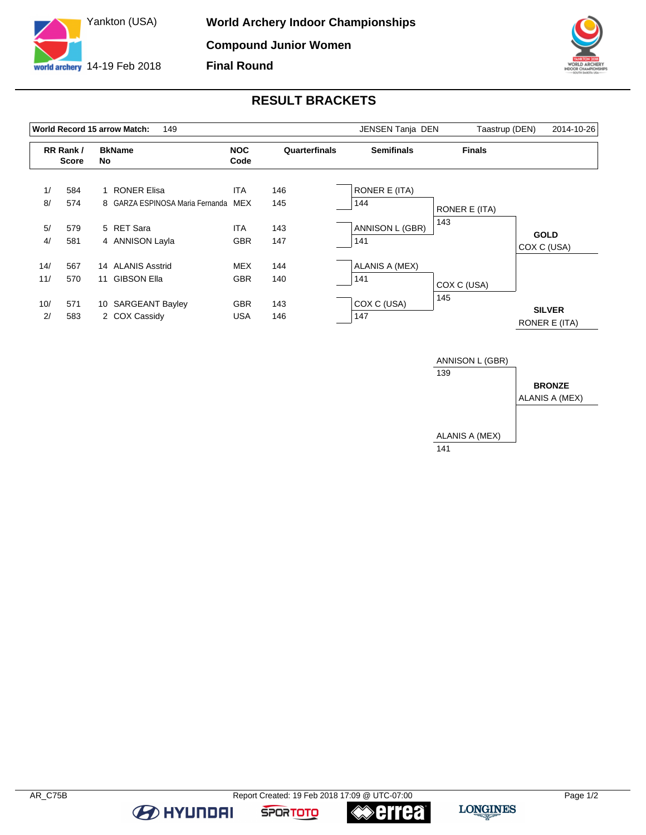



## **RESULT BRACKETS**

|     |                           |    | 149<br>World Record 15 arrow Match: | JENSEN Tanja DEN   | Taastrup (DEN) | 2014-10-26        |               |                                |
|-----|---------------------------|----|-------------------------------------|--------------------|----------------|-------------------|---------------|--------------------------------|
|     | RR Rank /<br><b>Score</b> | No | <b>BkName</b>                       | <b>NOC</b><br>Code | Quarterfinals  | <b>Semifinals</b> | <b>Finals</b> |                                |
| 1/  | 584                       |    | <b>RONER Elisa</b>                  | <b>ITA</b>         | 146            | RONER E (ITA)     |               |                                |
| 8/  | 574                       |    | 8 GARZA ESPINOSA Maria Fernanda     | MEX                | 145            | 144               | RONER E (ITA) |                                |
| 5/  | 579                       |    | 5 RET Sara                          | <b>ITA</b>         | 143            | ANNISON L (GBR)   | 143           | <b>GOLD</b>                    |
| 4/  | 581                       |    | 4 ANNISON Layla                     | <b>GBR</b>         | 147            | 141               |               | COX C (USA)                    |
| 14/ | 567                       |    | 14 ALANIS Asstrid                   | <b>MEX</b>         | 144            | ALANIS A (MEX)    |               |                                |
| 11/ | 570                       | 11 | <b>GIBSON Ella</b>                  | <b>GBR</b>         | 140            | 141               | COX C (USA)   |                                |
| 10/ | 571                       |    | 10 SARGEANT Bayley                  | <b>GBR</b>         | 143            | COX C (USA)       | 145           |                                |
| 2/  | 583                       |    | 2 COX Cassidy                       | <b>USA</b>         | 146            | 147               |               | <b>SILVER</b><br>RONER E (ITA) |



**BE AT A HYLINDAI** 

**errea** 

**SPORTOTO**